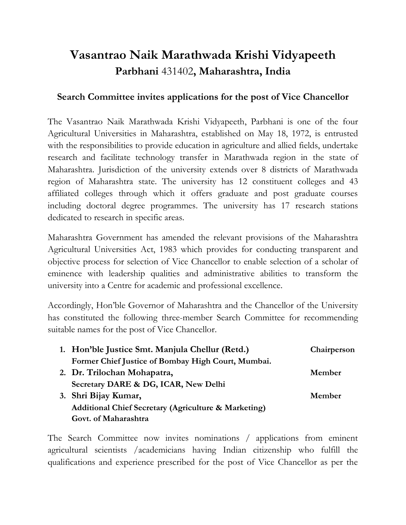## **Vasantrao Naik Marathwada Krishi Vidyapeeth [Parbhani](http://en.wikipedia.org/wiki/Parbhani)** 431402**, Maharashtra, India**

## **Search Committee invites applications for the post of Vice Chancellor**

The Vasantrao Naik Marathwada Krishi Vidyapeeth, [Parbhani](http://en.wikipedia.org/wiki/Parbhani) is one of the four Agricultural Universities in Maharashtra, established on May 18, 1972, is entrusted with the responsibilities to provide education in agriculture and allied fields, undertake research and facilitate technology transfer in Marathwada region in the state of Maharashtra. Jurisdiction of the university extends over 8 districts of Marathwada region of Maharashtra state. The university has 12 constituent colleges and 43 affiliated colleges through which it offers graduate and post graduate courses including doctoral degree programmes. The university has 17 research stations dedicated to research in specific areas.

Maharashtra Government has amended the relevant provisions of the Maharashtra Agricultural Universities Act, 1983 which provides for conducting transparent and objective process for selection of Vice Chancellor to enable selection of a scholar of eminence with leadership qualities and administrative abilities to transform the university into a Centre for academic and professional excellence.

Accordingly, Hon'ble Governor of Maharashtra and the Chancellor of the University has constituted the following three-member Search Committee for recommending suitable names for the post of Vice Chancellor.

| 1. Hon'ble Justice Smt. Manjula Chellur (Retd.)                 | Chairperson |
|-----------------------------------------------------------------|-------------|
| Former Chief Justice of Bombay High Court, Mumbai.              |             |
| 2. Dr. Trilochan Mohapatra,                                     | Member      |
| Secretary DARE & DG, ICAR, New Delhi                            |             |
| 3. Shri Bijay Kumar,                                            | Member      |
| <b>Additional Chief Secretary (Agriculture &amp; Marketing)</b> |             |
| Govt. of Maharashtra                                            |             |

The Search Committee now invites nominations / applications from eminent agricultural scientists /academicians having Indian citizenship who fulfill the qualifications and experience prescribed for the post of Vice Chancellor as per the